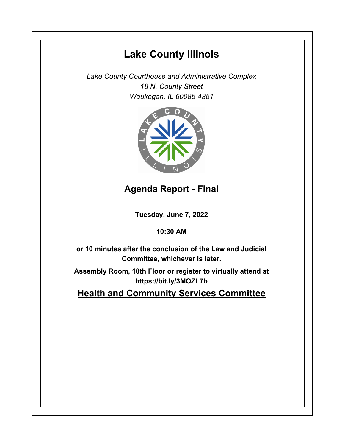# **Lake County Illinois**

*Lake County Courthouse and Administrative Complex 18 N. County Street Waukegan, IL 60085-4351*



## **Agenda Report - Final**

**Tuesday, June 7, 2022**

### **10:30 AM**

**or 10 minutes after the conclusion of the Law and Judicial Committee, whichever is later.**

**Assembly Room, 10th Floor or register to virtually attend at https://bit.ly/3MOZL7b**

**Health and Community Services Committee**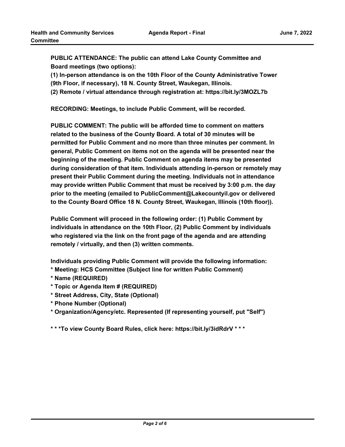**PUBLIC ATTENDANCE: The public can attend Lake County Committee and Board meetings (two options):** 

**(1) In-person attendance is on the 10th Floor of the County Administrative Tower (9th Floor, if necessary), 18 N. County Street, Waukegan, Illinois.**

**(2) Remote / virtual attendance through registration at: https://bit.ly/3MOZL7b**

**RECORDING: Meetings, to include Public Comment, will be recorded.**

**PUBLIC COMMENT: The public will be afforded time to comment on matters related to the business of the County Board. A total of 30 minutes will be permitted for Public Comment and no more than three minutes per comment. In general, Public Comment on items not on the agenda will be presented near the beginning of the meeting. Public Comment on agenda items may be presented during consideration of that item. Individuals attending in-person or remotely may present their Public Comment during the meeting. Individuals not in attendance may provide written Public Comment that must be received by 3:00 p.m. the day prior to the meeting (emailed to PublicComment@Lakecountyil.gov or delivered to the County Board Office 18 N. County Street, Waukegan, Illinois (10th floor)).** 

**Public Comment will proceed in the following order: (1) Public Comment by individuals in attendance on the 10th Floor, (2) Public Comment by individuals who registered via the link on the front page of the agenda and are attending remotely / virtually, and then (3) written comments.** 

**Individuals providing Public Comment will provide the following information:**

- **\* Meeting: HCS Committee (Subject line for written Public Comment)**
- **\* Name (REQUIRED)**
- **\* Topic or Agenda Item # (REQUIRED)**
- **\* Street Address, City, State (Optional)**
- **\* Phone Number (Optional)**
- **\* Organization/Agency/etc. Represented (If representing yourself, put "Self")**

**\* \* \*To view County Board Rules, click here: https://bit.ly/3idRdrV \* \* \***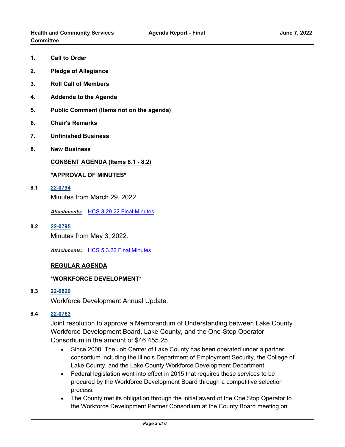- **1. Call to Order**
- **2. Pledge of Allegiance**
- **3. Roll Call of Members**
- **4. Addenda to the Agenda**
- **5. Public Comment (Items not on the agenda)**
- **6. Chair's Remarks**
- **7. Unfinished Business**
- **8. New Business**

**CONSENT AGENDA (Items 8.1 - 8.2)**

#### **\*APPROVAL OF MINUTES\***

**8.1 [22-0794](http://lakecounty.legistar.com/gateway.aspx?m=l&id=/matter.aspx?key=26580)** Minutes from March 29, 2022.

*Attachments:* [HCS 3.29.22 Final Minutes](http://lakecounty.legistar.com/gateway.aspx?M=F&ID=bfc45599-39fa-495f-b51c-722c7cc6dcb9.pdf)

**8.2 [22-0795](http://lakecounty.legistar.com/gateway.aspx?m=l&id=/matter.aspx?key=26581)**

Minutes from May 3, 2022.

*Attachments:* [HCS 5.3.22 Final Minutes](http://lakecounty.legistar.com/gateway.aspx?M=F&ID=4fc58fe3-a5d3-4173-aa39-b70d2685340b.pdf)

#### **REGULAR AGENDA**

#### **\*WORKFORCE DEVELOPMENT\***

**8.3 [22-0829](http://lakecounty.legistar.com/gateway.aspx?m=l&id=/matter.aspx?key=26614)**

Workforce Development Annual Update.

#### **8.4 [22-0763](http://lakecounty.legistar.com/gateway.aspx?m=l&id=/matter.aspx?key=26549)**

Joint resolution to approve a Memorandum of Understanding between Lake County Workforce Development Board, Lake County, and the One-Stop Operator Consortium in the amount of \$46,455.25.

- · Since 2000, The Job Center of Lake County has been operated under a partner consortium including the Illinois Department of Employment Security, the College of Lake County, and the Lake County Workforce Development Department.
- · Federal legislation went into effect in 2015 that requires these services to be procured by the Workforce Development Board through a competitive selection process.
- · The County met its obligation through the initial award of the One Stop Operator to the Workforce Development Partner Consortium at the County Board meeting on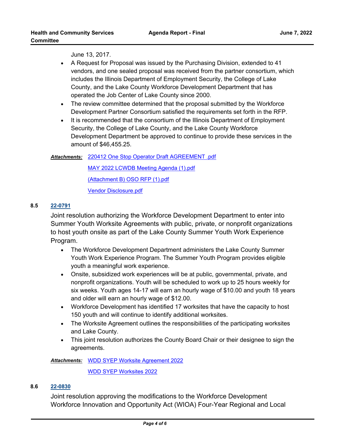June 13, 2017.

- · A Request for Proposal was issued by the Purchasing Division, extended to 41 vendors, and one sealed proposal was received from the partner consortium, which includes the Illinois Department of Employment Security, the College of Lake County, and the Lake County Workforce Development Department that has operated the Job Center of Lake County since 2000.
- · The review committee determined that the proposal submitted by the Workforce Development Partner Consortium satisfied the requirements set forth in the RFP.
- · It is recommended that the consortium of the Illinois Department of Employment Security, the College of Lake County, and the Lake County Workforce Development Department be approved to continue to provide these services in the amount of \$46,455.25.

#### [220412 One Stop Operator Draft AGREEMENT .pdf](http://lakecounty.legistar.com/gateway.aspx?M=F&ID=d4872bfd-bad0-4c66-8fce-1e7ffba51da0.pdf) *Attachments:*

[MAY 2022 LCWDB Meeting Agenda \(1\).pdf](http://lakecounty.legistar.com/gateway.aspx?M=F&ID=6622b34c-f2e7-4182-b2ad-a19f8c1d80f8.pdf)

[\(Attachment B\) OSO RFP \(1\).pdf](http://lakecounty.legistar.com/gateway.aspx?M=F&ID=985f6b37-7409-45f6-b4c0-b9df26dc5d63.pdf)

[Vendor Disclosure.pdf](http://lakecounty.legistar.com/gateway.aspx?M=F&ID=14135314-baa1-49d2-a404-5eea9403a117.pdf)

#### **8.5 [22-0791](http://lakecounty.legistar.com/gateway.aspx?m=l&id=/matter.aspx?key=26577)**

Joint resolution authorizing the Workforce Development Department to enter into Summer Youth Worksite Agreements with public, private, or nonprofit organizations to host youth onsite as part of the Lake County Summer Youth Work Experience Program.

- · The Workforce Development Department administers the Lake County Summer Youth Work Experience Program. The Summer Youth Program provides eligible youth a meaningful work experience.
- · Onsite, subsidized work experiences will be at public, governmental, private, and nonprofit organizations. Youth will be scheduled to work up to 25 hours weekly for six weeks. Youth ages 14-17 will earn an hourly wage of \$10.00 and youth 18 years and older will earn an hourly wage of \$12.00.
- · Workforce Development has identified 17 worksites that have the capacity to host 150 youth and will continue to identify additional worksites.
- · The Worksite Agreement outlines the responsibilities of the participating worksites and Lake County.
- · This joint resolution authorizes the County Board Chair or their designee to sign the agreements.

Attachments: [WDD SYEP Worksite Agreement 2022](http://lakecounty.legistar.com/gateway.aspx?M=F&ID=97e41162-73f6-4e9b-b4b7-7552ae60c02b.pdf)

[WDD SYEP Worksites 2022](http://lakecounty.legistar.com/gateway.aspx?M=F&ID=45ddabae-f981-4c41-ad30-a83ab328306a.pdf)

#### **8.6 [22-0830](http://lakecounty.legistar.com/gateway.aspx?m=l&id=/matter.aspx?key=26615)**

Joint resolution approving the modifications to the Workforce Development Workforce Innovation and Opportunity Act (WIOA) Four-Year Regional and Local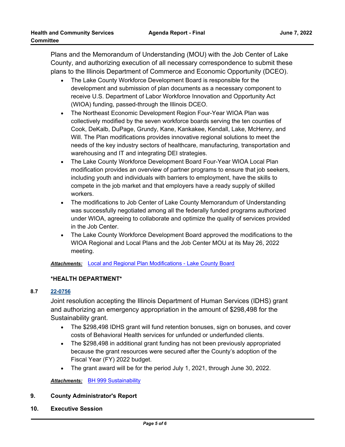Plans and the Memorandum of Understanding (MOU) with the Job Center of Lake County, and authorizing execution of all necessary correspondence to submit these plans to the Illinois Department of Commerce and Economic Opportunity (DCEO).

- · The Lake County Workforce Development Board is responsible for the development and submission of plan documents as a necessary component to receive U.S. Department of Labor Workforce Innovation and Opportunity Act (WIOA) funding, passed-through the Illinois DCEO.
- · The Northeast Economic Development Region Four-Year WIOA Plan was collectively modified by the seven workforce boards serving the ten counties of Cook, DeKalb, DuPage, Grundy, Kane, Kankakee, Kendall, Lake, McHenry, and Will. The Plan modifications provides innovative regional solutions to meet the needs of the key industry sectors of healthcare, manufacturing, transportation and warehousing and IT and integrating DEI strategies.
- · The Lake County Workforce Development Board Four-Year WIOA Local Plan modification provides an overview of partner programs to ensure that job seekers, including youth and individuals with barriers to employment, have the skills to compete in the job market and that employers have a ready supply of skilled workers.
- · The modifications to Job Center of Lake County Memorandum of Understanding was successfully negotiated among all the federally funded programs authorized under WIOA, agreeing to collaborate and optimize the quality of services provided in the Job Center.
- · The Lake County Workforce Development Board approved the modifications to the WIOA Regional and Local Plans and the Job Center MOU at its May 26, 2022 meeting.

*Attachments:* [Local and Regional Plan Modifications - Lake County Board](http://lakecounty.legistar.com/gateway.aspx?M=F&ID=a762268c-3af6-428c-8e0a-ece347545988.pdf)

#### **\*HEALTH DEPARTMENT\***

#### **8.7 [22-0756](http://lakecounty.legistar.com/gateway.aspx?m=l&id=/matter.aspx?key=26543)**

Joint resolution accepting the Illinois Department of Human Services (IDHS) grant and authorizing an emergency appropriation in the amount of \$298,498 for the Sustainability grant.

- · The \$298,498 IDHS grant will fund retention bonuses, sign on bonuses, and cover costs of Behavioral Health services for unfunded or underfunded clients.
- · The \$298,498 in additional grant funding has not been previously appropriated because the grant resources were secured after the County's adoption of the Fiscal Year (FY) 2022 budget.
- · The grant award will be for the period July 1, 2021, through June 30, 2022.

*Attachments:* [BH 999 Sustainability](http://lakecounty.legistar.com/gateway.aspx?M=F&ID=09dc0aa8-73b3-4b89-a606-bd36ec62e344.pdf)

- **9. County Administrator's Report**
- **10. Executive Session**